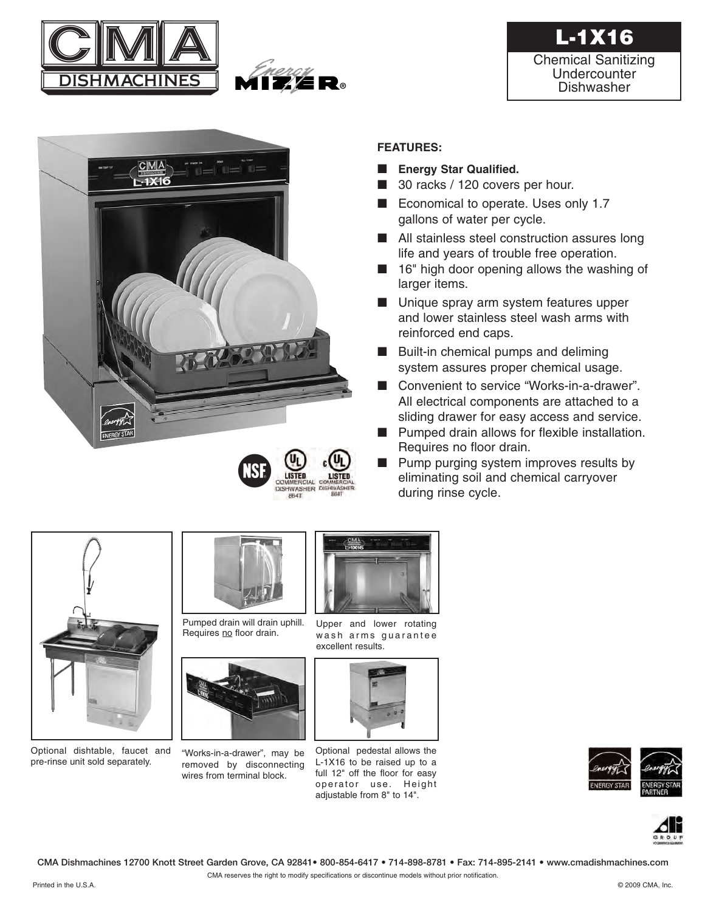





## **FEATURES:**

- **Energy Star Qualified.**
- 30 racks / 120 covers per hour.
- Economical to operate. Uses only 1.7 gallons of water per cycle.
- All stainless steel construction assures long life and years of trouble free operation.
- 16" high door opening allows the washing of larger items.
- Unique spray arm system features upper and lower stainless steel wash arms with reinforced end caps.
- Built-in chemical pumps and deliming system assures proper chemical usage.
- Convenient to service "Works-in-a-drawer". All electrical components are attached to a sliding drawer for easy access and service.
- Pumped drain allows for flexible installation. Requires no floor drain.
- Pump purging system improves results by eliminating soil and chemical carryover during rinse cycle.



Optional dishtable, faucet and pre-rinse unit sold separately.



DISHWASHER: D

Pumped drain will drain uphill. Requires no floor drain.



"Works-in-a-drawer", may be removed by disconnecting wires from terminal block.



Upper and lower rotating wash arms guarantee excellent results.



Optional pedestal allows the L-1X16 to be raised up to a full 12" off the floor for easy operator use. Height adjustable from 8" to 14".





CMA Dishmachines 12700 Knott Street Garden Grove, CA 92841• 800-854-6417 • 714-898-8781 • Fax: 714-895-2141 • www.cmadishmachines.com